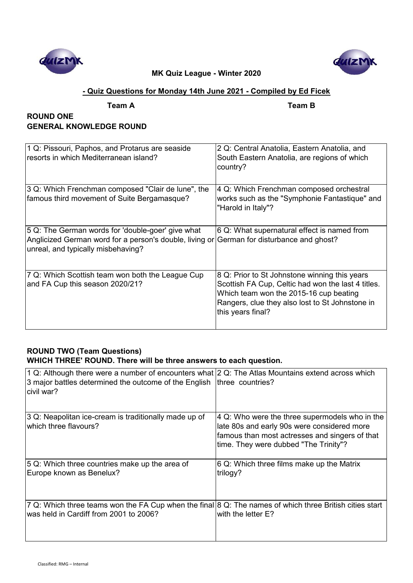



## **- Quiz Questions for Monday 14th June 2021 - Compiled by Ed Ficek**

| eam |  |
|-----|--|
|     |  |

**Team A Team B**

## **ROUND ONE GENERAL KNOWLEDGE ROUND**

| 1 Q: Pissouri, Paphos, and Protarus are seaside<br>resorts in which Mediterranean island?                                                                                            | 2 Q: Central Anatolia, Eastern Anatolia, and<br>South Eastern Anatolia, are regions of which<br>country?                                                                                                              |
|--------------------------------------------------------------------------------------------------------------------------------------------------------------------------------------|-----------------------------------------------------------------------------------------------------------------------------------------------------------------------------------------------------------------------|
| 3 Q: Which Frenchman composed "Clair de lune", the<br>famous third movement of Suite Bergamasque?                                                                                    | 4 Q: Which Frenchman composed orchestral<br>works such as the "Symphonie Fantastique" and<br>"Harold in Italy"?                                                                                                       |
| 5 Q: The German words for 'double-goer' give what<br>Anglicized German word for a person's double, living or German for disturbance and ghost?<br>unreal, and typically misbehaving? | 6 Q: What supernatural effect is named from                                                                                                                                                                           |
| 7 Q: Which Scottish team won both the League Cup<br>and FA Cup this season 2020/21?                                                                                                  | 8 Q: Prior to St Johnstone winning this years<br>Scottish FA Cup, Celtic had won the last 4 titles.<br>Which team won the 2015-16 cup beating<br>Rangers, clue they also lost to St Johnstone in<br>this years final? |

## **ROUND TWO (Team Questions) WHICH THREE' ROUND. There will be three answers to each question.**

| 1 Q: Although there were a number of encounters what 2 Q: The Atlas Mountains extend across which<br>3 major battles determined the outcome of the English $ $ three countries?<br>civil war? |                                                                                                                                                                                                        |
|-----------------------------------------------------------------------------------------------------------------------------------------------------------------------------------------------|--------------------------------------------------------------------------------------------------------------------------------------------------------------------------------------------------------|
| 3 Q: Neapolitan ice-cream is traditionally made up of<br>which three flavours?                                                                                                                | $ 4 \, \text{Q}$ : Who were the three supermodels who in the<br>late 80s and early 90s were considered more<br>famous than most actresses and singers of that<br>time. They were dubbed "The Trinity"? |
| 5 Q: Which three countries make up the area of<br>Europe known as Benelux?                                                                                                                    | 6 Q: Which three films make up the Matrix<br>trilogy?                                                                                                                                                  |
| 7 Q: Which three teams won the FA Cup when the final 8 Q: The names of which three British cities start<br>was held in Cardiff from 2001 to 2006?                                             | with the letter E?                                                                                                                                                                                     |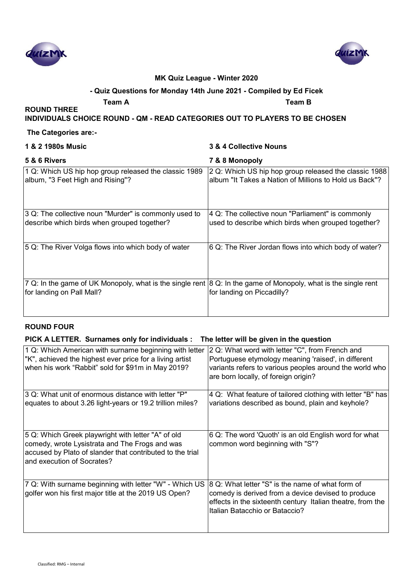



#### **- Quiz Questions for Monday 14th June 2021 - Compiled by Ed Ficek**

**Team A Team B**

**INDIVIDUALS CHOICE ROUND - QM - READ CATEGORIES OUT TO PLAYERS TO BE CHOSEN**

#### **The Categories are:-**

**ROUND THREE** 

#### **1 & 2 1980s Music 3 & 4 Collective Nouns**

| 5 & 6 Rivers                                                                                                                                | 7 & 8 Monopoly                                                                                                  |
|---------------------------------------------------------------------------------------------------------------------------------------------|-----------------------------------------------------------------------------------------------------------------|
| 1 Q: Which US hip hop group released the classic 1989<br>album, "3 Feet High and Rising"?                                                   | 2 Q: Which US hip hop group released the classic 1988<br>album "It Takes a Nation of Millions to Hold us Back"? |
| 3 Q: The collective noun "Murder" is commonly used to<br>describe which birds when grouped together?                                        | 4 Q: The collective noun "Parliament" is commonly<br>used to describe which birds when grouped together?        |
| 5 Q: The River Volga flows into which body of water                                                                                         | 6 Q: The River Jordan flows into which body of water?                                                           |
| 7 Q: In the game of UK Monopoly, what is the single rent 8 Q: In the game of Monopoly, what is the single rent<br>for landing on Pall Mall? | for landing on Piccadilly?                                                                                      |

### **ROUND FOUR**

## PICK A LETTER. Surnames only for individuals : The letter will be given in the question

| 1 Q: Which American with surname beginning with letter<br>"K", achieved the highest ever price for a living artist<br>when his work "Rabbit" sold for \$91m in May 2019?                        | 2 Q: What word with letter "C", from French and<br>Portuguese etymology meaning 'raised', in different<br>variants refers to various peoples around the world who<br>are born locally, of foreign origin? |
|-------------------------------------------------------------------------------------------------------------------------------------------------------------------------------------------------|-----------------------------------------------------------------------------------------------------------------------------------------------------------------------------------------------------------|
| 3 Q: What unit of enormous distance with letter "P"<br>equates to about 3.26 light-years or 19.2 trillion miles?                                                                                | 4 Q: What feature of tailored clothing with letter "B" has<br>variations described as bound, plain and keyhole?                                                                                           |
| 5 Q: Which Greek playwright with letter "A" of old<br>comedy, wrote Lysistrata and The Frogs and was<br>accused by Plato of slander that contributed to the trial<br>and execution of Socrates? | 6 Q: The word 'Quoth' is an old English word for what<br>common word beginning with "S"?                                                                                                                  |
| 7 Q: With surname beginning with letter "W" - Which US<br>golfer won his first major title at the 2019 US Open?                                                                                 | 8 Q: What letter "S" is the name of what form of<br>comedy is derived from a device devised to produce<br>effects in the sixteenth century Italian theatre, from the<br>Italian Batacchio or Bataccio?    |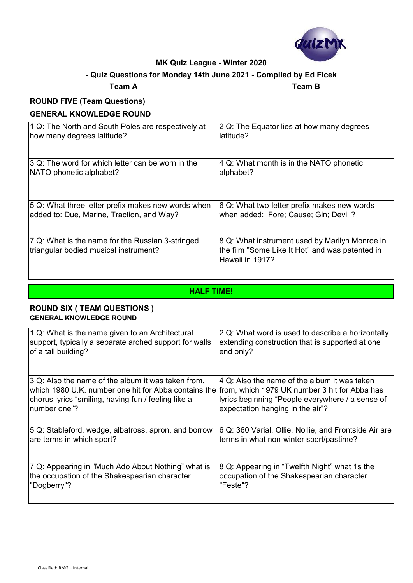

# **Team A Team B - Quiz Questions for Monday 14th June 2021 - Compiled by Ed Ficek**

# **ROUND FIVE (Team Questions)**

## **GENERAL KNOWLEDGE ROUND**

| 1 Q: The North and South Poles are respectively at                                        | 2 Q: The Equator lies at how many degrees                                                                            |
|-------------------------------------------------------------------------------------------|----------------------------------------------------------------------------------------------------------------------|
| how many degrees latitude?                                                                | latitude?                                                                                                            |
| 3 Q: The word for which letter can be worn in the                                         | 4 Q: What month is in the NATO phonetic                                                                              |
| NATO phonetic alphabet?                                                                   | alphabet?                                                                                                            |
| 5 Q: What three letter prefix makes new words when                                        | 6 Q: What two-letter prefix makes new words                                                                          |
| added to: Due, Marine, Traction, and Way?                                                 | when added: Fore; Cause; Gin; Devil;?                                                                                |
| 7 Q: What is the name for the Russian 3-stringed<br>triangular bodied musical instrument? | 8 Q: What instrument used by Marilyn Monroe in<br>the film "Some Like It Hot" and was patented in<br>Hawaii in 1917? |

**HALF TIME!**

## **ROUND SIX ( TEAM QUESTIONS ) GENERAL KNOWLEDGE ROUND**

| 1 Q: What is the name given to an Architectural                                                                                                                                                                                 | 2 Q: What word is used to describe a horizontally                                                                                    |
|---------------------------------------------------------------------------------------------------------------------------------------------------------------------------------------------------------------------------------|--------------------------------------------------------------------------------------------------------------------------------------|
| support, typically a separate arched support for walls                                                                                                                                                                          | extending construction that is supported at one                                                                                      |
| of a tall building?                                                                                                                                                                                                             | end only?                                                                                                                            |
| 3 Q: Also the name of the album it was taken from,<br>which 1980 U.K. number one hit for Abba contains the from, which 1979 UK number 3 hit for Abba has<br>chorus lyrics "smiling, having fun / feeling like a<br>number one"? | 4 Q: Also the name of the album it was taken<br>lyrics beginning "People everywhere / a sense of<br>expectation hanging in the air"? |
| 5 Q: Stableford, wedge, albatross, apron, and borrow                                                                                                                                                                            | 6 Q: 360 Varial, Ollie, Nollie, and Frontside Air are                                                                                |
| are terms in which sport?                                                                                                                                                                                                       | terms in what non-winter sport/pastime?                                                                                              |
| 7 Q: Appearing in "Much Ado About Nothing" what is                                                                                                                                                                              | 8 Q: Appearing in "Twelfth Night" what 1s the                                                                                        |
| the occupation of the Shakespearian character                                                                                                                                                                                   | occupation of the Shakespearian character                                                                                            |
| "Dogberry"?                                                                                                                                                                                                                     | "Feste"?                                                                                                                             |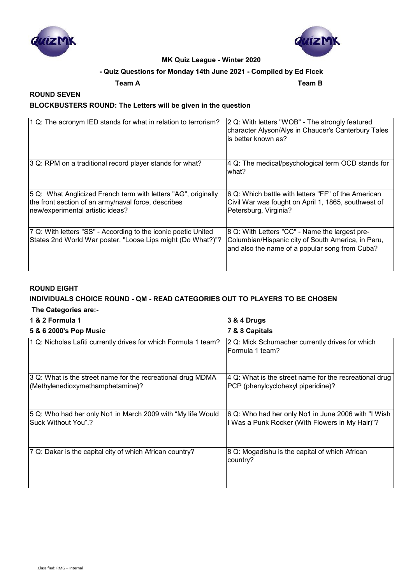



## **- Quiz Questions for Monday 14th June 2021 - Compiled by Ed Ficek**

**Team A Team B**

## **ROUND SEVEN BLOCKBUSTERS ROUND: The Letters will be given in the question**

| 1 Q: The acronym IED stands for what in relation to terrorism?                                                                                            | 2 Q: With letters "WOB" - The strongly featured<br>character Alyson/Alys in Chaucer's Canterbury Tales<br>is better known as?                          |
|-----------------------------------------------------------------------------------------------------------------------------------------------------------|--------------------------------------------------------------------------------------------------------------------------------------------------------|
| 3 Q: RPM on a traditional record player stands for what?                                                                                                  | 4 Q: The medical/psychological term OCD stands for<br>what?                                                                                            |
| 5 Q: What Anglicized French term with letters "AG", originally<br>the front section of an army/naval force, describes<br>new/experimental artistic ideas? | 6 Q: Which battle with letters "FF" of the American<br>Civil War was fought on April 1, 1865, southwest of<br>Petersburg, Virginia?                    |
| 7 Q: With letters "SS" - According to the iconic poetic United<br>States 2nd World War poster, "Loose Lips might (Do What?)"?                             | 8 Q: With Letters "CC" - Name the largest pre-<br>Columbian/Hispanic city of South America, in Peru,<br>and also the name of a popular song from Cuba? |

## **ROUND EIGHT**

# **INDIVIDUALS CHOICE ROUND - QM - READ CATEGORIES OUT TO PLAYERS TO BE CHOSEN**

## **The Categories are:-**

| 1 & 2 Formula 1                                                                                 | 3 & 4 Drugs                                                                                            |
|-------------------------------------------------------------------------------------------------|--------------------------------------------------------------------------------------------------------|
| 5 & 6 2000's Pop Music                                                                          | 7 & 8 Capitals                                                                                         |
| 1 Q: Nicholas Lafiti currently drives for which Formula 1 team?                                 | 2 Q: Mick Schumacher currently drives for which<br>Formula 1 team?                                     |
| 3 Q: What is the street name for the recreational drug MDMA<br>(Methylenedioxymethamphetamine)? | 4 Q: What is the street name for the recreational drug<br>PCP (phenylcyclohexyl piperidine)?           |
| 5 Q: Who had her only No1 in March 2009 with "My life Would<br>Suck Without You".?              | 6 Q: Who had her only No1 in June 2006 with "I Wish<br>I Was a Punk Rocker (With Flowers in My Hair)"? |
| 7 Q: Dakar is the capital city of which African country?                                        | 8 Q: Mogadishu is the capital of which African<br>country?                                             |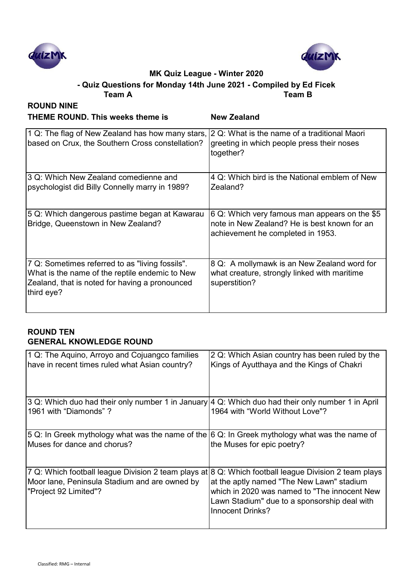



**- Quiz Questions for Monday 14th June 2021 - Compiled by Ed Ficek**

| <b>Team A</b>                                                                                                                                                     | <b>Team B</b>                                                                                                                      |
|-------------------------------------------------------------------------------------------------------------------------------------------------------------------|------------------------------------------------------------------------------------------------------------------------------------|
| <b>ROUND NINE</b><br><b>THEME ROUND. This weeks theme is</b>                                                                                                      | <b>New Zealand</b>                                                                                                                 |
| 1 Q: The flag of New Zealand has how many stars, 2 Q: What is the name of a traditional Maori<br>based on Crux, the Southern Cross constellation?                 | greeting in which people press their noses<br>together?                                                                            |
| 3 Q: Which New Zealand comedienne and<br>psychologist did Billy Connelly marry in 1989?                                                                           | 4 Q: Which bird is the National emblem of New<br>Zealand?                                                                          |
| 5 Q: Which dangerous pastime began at Kawarau<br>Bridge, Queenstown in New Zealand?                                                                               | 6 Q: Which very famous man appears on the \$5<br>note in New Zealand? He is best known for an<br>achievement he completed in 1953. |
| 7 Q: Sometimes referred to as "living fossils".<br>What is the name of the reptile endemic to New<br>Zealand, that is noted for having a pronounced<br>third eye? | 8 Q: A mollymawk is an New Zealand word for<br>what creature, strongly linked with maritime<br>superstition?                       |

## **ROUND TEN GENERAL KNOWLEDGE ROUND**

| 1 Q: The Aquino, Arroyo and Cojuangco families<br>have in recent times ruled what Asian country?                                                                               | 2 Q: Which Asian country has been ruled by the<br>Kings of Ayutthaya and the Kings of Chakri                                                                         |
|--------------------------------------------------------------------------------------------------------------------------------------------------------------------------------|----------------------------------------------------------------------------------------------------------------------------------------------------------------------|
| 3 Q: Which duo had their only number 1 in January 4 Q: Which duo had their only number 1 in April<br>1961 with "Diamonds" ?                                                    | 1964 with "World Without Love"?                                                                                                                                      |
| 5 Q: In Greek mythology what was the name of the 6 Q: In Greek mythology what was the name of<br>Muses for dance and chorus?                                                   | the Muses for epic poetry?                                                                                                                                           |
| 7 Q: Which football league Division 2 team plays at 8 Q: Which football league Division 2 team plays<br>Moor lane, Peninsula Stadium and are owned by<br>"Project 92 Limited"? | at the aptly named "The New Lawn" stadium<br>which in 2020 was named to "The innocent New<br>Lawn Stadium" due to a sponsorship deal with<br><b>Innocent Drinks?</b> |